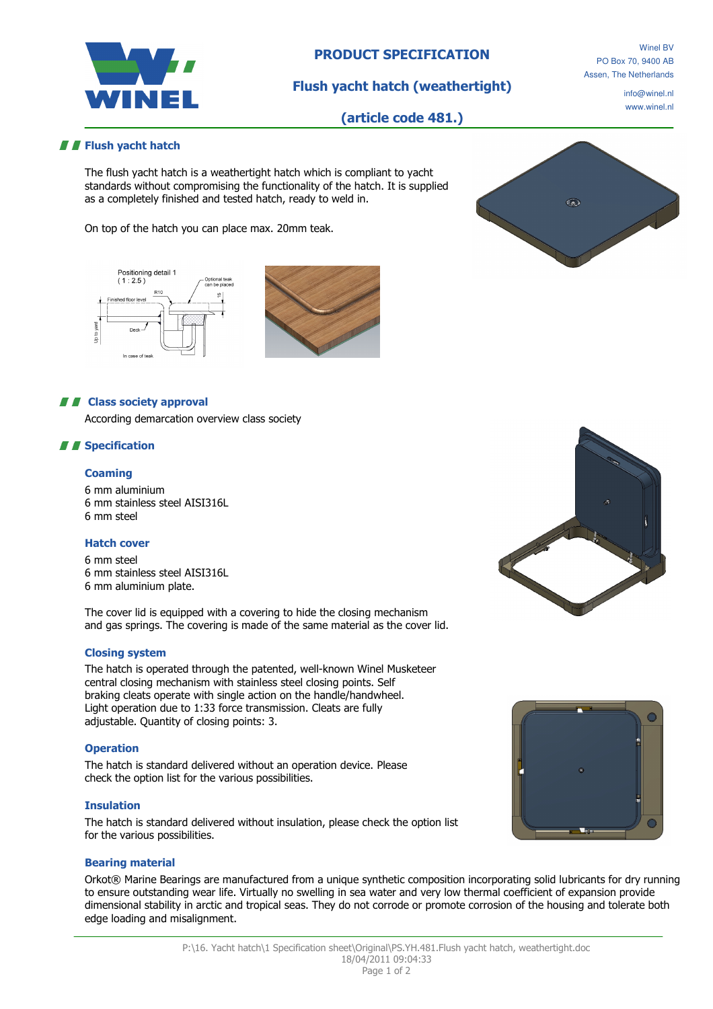

# PRODUCT SPECIFICATION

Flush yacht hatch (weathertight)

Winel BV PO Box 70, 9400 AB Assen, The Netherlands

> info@winel.nl www.winel.nl

# (article code 481.)

### **F** Flush yacht hatch

The flush yacht hatch is a weathertight hatch which is compliant to yacht standards without compromising the functionality of the hatch. It is supplied as a completely finished and tested hatch, ready to weld in.

On top of the hatch you can place max. 20mm teak.





### **A F** Class society approval

According demarcation overview class society

## *II* Specification

### **Coaming**

6 mm aluminium 6 mm stainless steel AISI316L 6 mm steel

#### Hatch cover

6 mm steel 6 mm stainless steel AISI316L 6 mm aluminium plate.

The cover lid is equipped with a covering to hide the closing mechanism and gas springs. The covering is made of the same material as the cover lid.

### Closing system

The hatch is operated through the patented, well-known Winel Musketeer central closing mechanism with stainless steel closing points. Self braking cleats operate with single action on the handle/handwheel. Light operation due to 1:33 force transmission. Cleats are fully adjustable. Quantity of closing points: 3.

#### **Operation**

The hatch is standard delivered without an operation device. Please check the option list for the various possibilities.

#### Insulation

The hatch is standard delivered without insulation, please check the option list for the various possibilities.

#### Bearing material

Orkot® Marine Bearings are manufactured from a unique synthetic composition incorporating solid lubricants for dry running to ensure outstanding wear life. Virtually no swelling in sea water and very low thermal coefficient of expansion provide dimensional stability in arctic and tropical seas. They do not corrode or promote corrosion of the housing and tolerate both edge loading and misalignment.



 $\widehat{\mathbb{Q}_{\text{ML}}}$